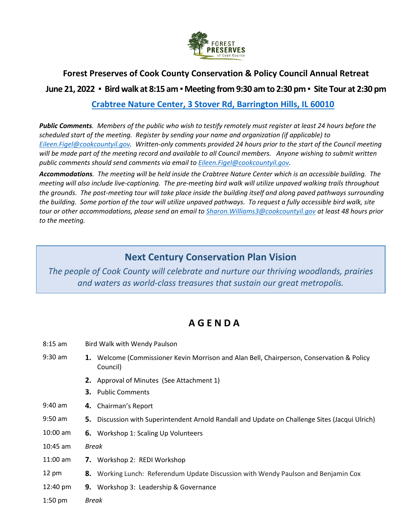

## **Forest Preserves of Cook County Conservation & Policy Council Annual Retreat**

## **June 21, 2022 ▪ Bird walk at 8:15 am ▪ Meeting from 9:30 am to 2:30 pm ▪ Site Tour at 2:30 pm**

**[Crabtree Nature Center, 3 Stover Rd, Barrington Hills, IL 60010](https://www.google.com/maps/place/3+Stover+Rd,+Barrington,+IL+60010/@42.103482,-88.1673687,14z/data=!4m5!3m4!1s0x880fa764a26087a7:0x69f68f05792b9705!8m2!3d42.1141477!4d-88.1628519)**

*Public Comments. Members of the public who wish to testify remotely must register at least 24 hours before the scheduled start of the meeting. Register by sending your name and organization (if applicable) to [Eileen.Figel@cookcountyil.gov.](mailto:Eileen.Figel@cookcountyil.gov) Written-only comments provided 24 hours prior to the start of the Council meeting will be made part of the meeting record and available to all Council members. Anyone wishing to submit written public comments should send comments via email t[o Eileen.Figel@cookcountyil.gov.](mailto:Eileen.Figel@cookcountyil.gov)*

*Accommodations. The meeting will be held inside the Crabtree Nature Center which is an accessible building. The meeting will also include live-captioning. The pre-meeting bird walk will utilize unpaved walking trails throughout the grounds. The post-meeting tour will take place inside the building itself and along paved pathways surrounding the building. Some portion of the tour will utilize unpaved pathways. To request a fully accessible bird walk, site tour or other accommodations, please send an email to [Sharon.Williams3@cookcountyil.gov](mailto:Sharon.Williams3@cookcountyil.gov) at least 48 hours prior to the meeting.* 

## **Next Century Conservation Plan Vision**

*The people of Cook County will celebrate and nurture our thriving woodlands, prairies and waters as world-class treasures that sustain our great metropolis.*

## **A G E N D A**

- 8:15 am Bird Walk with Wendy Paulson
- 9:30 am **1.** Welcome (Commissioner Kevin Morrison and Alan Bell, Chairperson, Conservation & Policy Council)
	- **2.** Approval of Minutes (See Attachment 1)
	- **3.** Public Comments
- 9:40 am **4.** Chairman's Report
- 9:50 am **5.** Discussion with Superintendent Arnold Randall and Update on Challenge Sites (Jacqui Ulrich)
- 10:00 am **6.** Workshop 1: Scaling Up Volunteers
- 10:45 am *Break*
- 11:00 am **7.** Workshop 2: REDI Workshop
- 12 pm **8.** Working Lunch: Referendum Update Discussion with Wendy Paulson and Benjamin Cox
- 12:40 pm **9.** Workshop 3: Leadership & Governance
- 1:50 pm *Break*